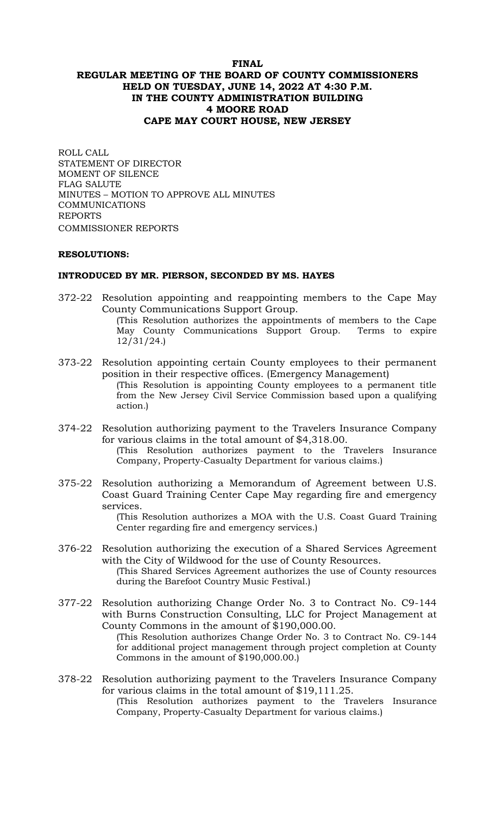# **FINAL REGULAR MEETING OF THE BOARD OF COUNTY COMMISSIONERS HELD ON TUESDAY, JUNE 14, 2022 AT 4:30 P.M. IN THE COUNTY ADMINISTRATION BUILDING 4 MOORE ROAD CAPE MAY COURT HOUSE, NEW JERSEY**

ROLL CALL STATEMENT OF DIRECTOR MOMENT OF SILENCE FLAG SALUTE MINUTES – MOTION TO APPROVE ALL MINUTES COMMUNICATIONS REPORTS COMMISSIONER REPORTS

### **RESOLUTIONS:**

#### **INTRODUCED BY MR. PIERSON, SECONDED BY MS. HAYES**

- 372-22 Resolution appointing and reappointing members to the Cape May County Communications Support Group. (This Resolution authorizes the appointments of members to the Cape May County Communications Support Group. Terms to expire 12/31/24.)
- 373-22 Resolution appointing certain County employees to their permanent position in their respective offices. (Emergency Management) (This Resolution is appointing County employees to a permanent title from the New Jersey Civil Service Commission based upon a qualifying action*.*)
- 374-22 Resolution authorizing payment to the Travelers Insurance Company for various claims in the total amount of \$4,318.00. (This Resolution authorizes payment to the Travelers Insurance Company, Property-Casualty Department for various claims.)
- 375-22 Resolution authorizing a Memorandum of Agreement between U.S. Coast Guard Training Center Cape May regarding fire and emergency services.

(This Resolution authorizes a MOA with the U.S. Coast Guard Training Center regarding fire and emergency services.)

- 376-22 Resolution authorizing the execution of a Shared Services Agreement with the City of Wildwood for the use of County Resources. (This Shared Services Agreement authorizes the use of County resources
	- during the Barefoot Country Music Festival.)
- 377-22 Resolution authorizing Change Order No. 3 to Contract No. C9-144 with Burns Construction Consulting, LLC for Project Management at County Commons in the amount of \$190,000.00. (This Resolution authorizes Change Order No. 3 to Contract No. C9-144

for additional project management through project completion at County Commons in the amount of \$190,000.00.)

378-22 Resolution authorizing payment to the Travelers Insurance Company for various claims in the total amount of \$19,111.25. (This Resolution authorizes payment to the Travelers Insurance Company, Property-Casualty Department for various claims.)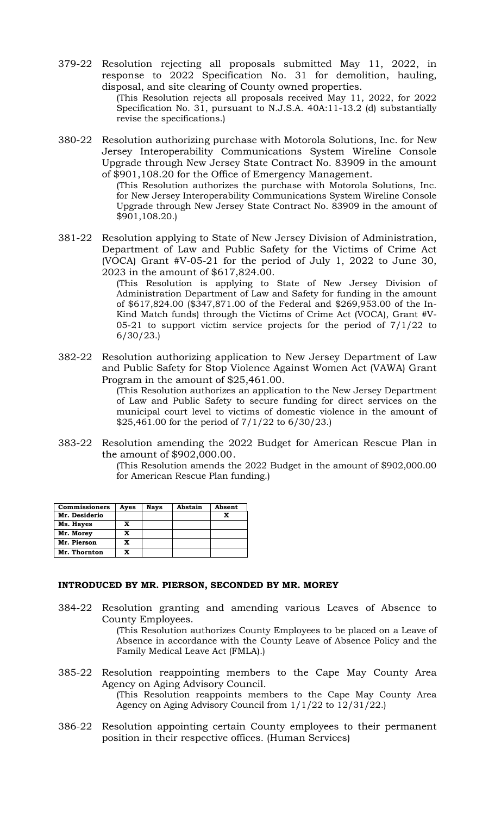379-22 Resolution rejecting all proposals submitted May 11, 2022, in response to 2022 Specification No. 31 for demolition, hauling, disposal, and site clearing of County owned properties.

(This Resolution rejects all proposals received May 11, 2022, for 2022 Specification No. 31, pursuant to N.J.S.A. 40A:11-13.2 (d) substantially revise the specifications.)

380-22 Resolution authorizing purchase with Motorola Solutions, Inc. for New Jersey Interoperability Communications System Wireline Console Upgrade through New Jersey State Contract No. 83909 in the amount of \$901,108.20 for the Office of Emergency Management.

(This Resolution authorizes the purchase with Motorola Solutions, Inc. for New Jersey Interoperability Communications System Wireline Console Upgrade through New Jersey State Contract No. 83909 in the amount of \$901,108.20.)

381-22 Resolution applying to State of New Jersey Division of Administration, Department of Law and Public Safety for the Victims of Crime Act (VOCA) Grant #V-05-21 for the period of July 1, 2022 to June 30, 2023 in the amount of \$617,824.00.

(This Resolution is applying to State of New Jersey Division of Administration Department of Law and Safety for funding in the amount of \$617,824.00 (\$347,871.00 of the Federal and \$269,953.00 of the In-Kind Match funds) through the Victims of Crime Act (VOCA), Grant #V-05-21 to support victim service projects for the period of 7/1/22 to 6/30/23.)

382-22 Resolution authorizing application to New Jersey Department of Law and Public Safety for Stop Violence Against Women Act (VAWA) Grant Program in the amount of \$25,461.00.

(This Resolution authorizes an application to the New Jersey Department of Law and Public Safety to secure funding for direct services on the municipal court level to victims of domestic violence in the amount of \$25,461.00 for the period of 7/1/22 to 6/30/23.)

383-22 Resolution amending the 2022 Budget for American Rescue Plan in the amount of \$902,000.00.

(This Resolution amends the 2022 Budget in the amount of \$902,000.00 for American Rescue Plan funding.)

| <b>Commissioners</b> | Ayes | <b>Nays</b> | Abstain | Absent |
|----------------------|------|-------------|---------|--------|
| Mr. Desiderio        |      |             |         | X      |
| Ms. Hayes            | x    |             |         |        |
| Mr. Morey            | x    |             |         |        |
| Mr. Pierson          | x    |             |         |        |
| Mr. Thornton         | x    |             |         |        |

### **INTRODUCED BY MR. PIERSON, SECONDED BY MR. MOREY**

384-22 Resolution granting and amending various Leaves of Absence to County Employees.

(This Resolution authorizes County Employees to be placed on a Leave of Absence in accordance with the County Leave of Absence Policy and the Family Medical Leave Act (FMLA).)

385-22 Resolution reappointing members to the Cape May County Area Agency on Aging Advisory Council.

(This Resolution reappoints members to the Cape May County Area Agency on Aging Advisory Council from 1/1/22 to 12/31/22.)

386-22 Resolution appointing certain County employees to their permanent position in their respective offices. (Human Services)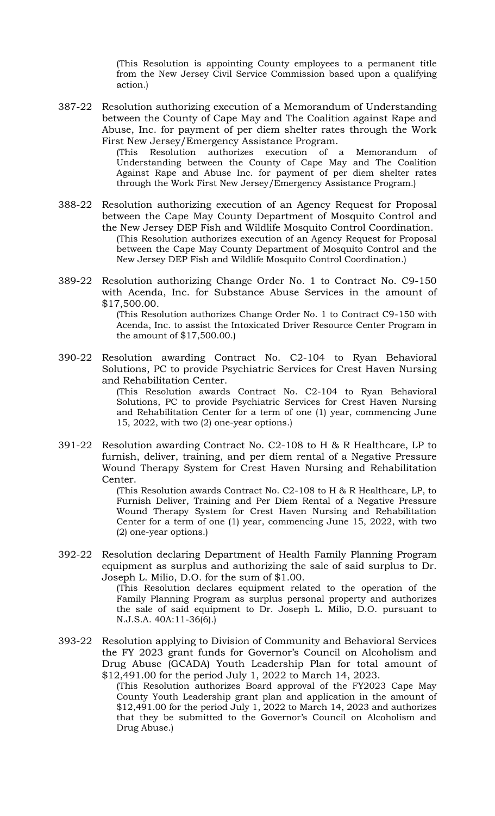(This Resolution is appointing County employees to a permanent title from the New Jersey Civil Service Commission based upon a qualifying action*.*)

387-22 Resolution authorizing execution of a Memorandum of Understanding between the County of Cape May and The Coalition against Rape and Abuse, Inc. for payment of per diem shelter rates through the Work First New Jersey/Emergency Assistance Program.

> (This Resolution authorizes execution of a Memorandum of Understanding between the County of Cape May and The Coalition Against Rape and Abuse Inc. for payment of per diem shelter rates through the Work First New Jersey/Emergency Assistance Program.)

- 388-22 Resolution authorizing execution of an Agency Request for Proposal between the Cape May County Department of Mosquito Control and the New Jersey DEP Fish and Wildlife Mosquito Control Coordination. (This Resolution authorizes execution of an Agency Request for Proposal between the Cape May County Department of Mosquito Control and the New Jersey DEP Fish and Wildlife Mosquito Control Coordination.)
- 389-22 Resolution authorizing Change Order No. 1 to Contract No. C9-150 with Acenda, Inc. for Substance Abuse Services in the amount of \$17,500.00.

(This Resolution authorizes Change Order No. 1 to Contract C9-150 with Acenda, Inc. to assist the Intoxicated Driver Resource Center Program in the amount of \$17,500.00.)

390-22 Resolution awarding Contract No. C2-104 to Ryan Behavioral Solutions, PC to provide Psychiatric Services for Crest Haven Nursing and Rehabilitation Center.

> (This Resolution awards Contract No. C2-104 to Ryan Behavioral Solutions, PC to provide Psychiatric Services for Crest Haven Nursing and Rehabilitation Center for a term of one (1) year, commencing June 15, 2022, with two (2) one-year options.)

391-22 Resolution awarding Contract No. C2-108 to H & R Healthcare, LP to furnish, deliver, training, and per diem rental of a Negative Pressure Wound Therapy System for Crest Haven Nursing and Rehabilitation Center.

> (This Resolution awards Contract No. C2-108 to H & R Healthcare, LP, to Furnish Deliver, Training and Per Diem Rental of a Negative Pressure Wound Therapy System for Crest Haven Nursing and Rehabilitation Center for a term of one (1) year, commencing June 15, 2022, with two (2) one-year options.)

392-22 Resolution declaring Department of Health Family Planning Program equipment as surplus and authorizing the sale of said surplus to Dr. Joseph L. Milio, D.O. for the sum of \$1.00.

> (This Resolution declares equipment related to the operation of the Family Planning Program as surplus personal property and authorizes the sale of said equipment to Dr. Joseph L. Milio, D.O. pursuant to N.J.S.A. 40A:11-36(6).)

393-22 Resolution applying to Division of Community and Behavioral Services the FY 2023 grant funds for Governor's Council on Alcoholism and Drug Abuse (GCADA) Youth Leadership Plan for total amount of \$12,491.00 for the period July 1, 2022 to March 14, 2023.

(This Resolution authorizes Board approval of the FY2023 Cape May County Youth Leadership grant plan and application in the amount of \$12,491.00 for the period July 1, 2022 to March 14, 2023 and authorizes that they be submitted to the Governor's Council on Alcoholism and Drug Abuse.)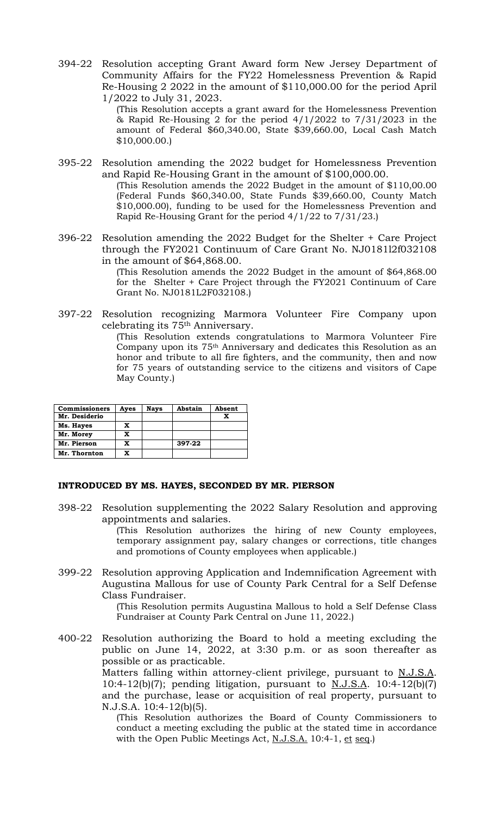394-22 Resolution accepting Grant Award form New Jersey Department of Community Affairs for the FY22 Homelessness Prevention & Rapid Re-Housing 2 2022 in the amount of \$110,000.00 for the period April 1/2022 to July 31, 2023.

(This Resolution accepts a grant award for the Homelessness Prevention & Rapid Re-Housing 2 for the period 4/1/2022 to 7/31/2023 in the amount of Federal \$60,340.00, State \$39,660.00, Local Cash Match \$10,000.00.)

- 395-22 Resolution amending the 2022 budget for Homelessness Prevention and Rapid Re-Housing Grant in the amount of \$100,000.00. (This Resolution amends the 2022 Budget in the amount of \$110,00.00 (Federal Funds \$60,340.00, State Funds \$39,660.00, County Match \$10,000.00), funding to be used for the Homelessness Prevention and Rapid Re-Housing Grant for the period 4/1/22 to 7/31/23.)
- 396-22 Resolution amending the 2022 Budget for the Shelter + Care Project through the FY2021 Continuum of Care Grant No. NJ0181l2f032108 in the amount of \$64,868.00.

(This Resolution amends the 2022 Budget in the amount of \$64,868.00 for the Shelter + Care Project through the FY2021 Continuum of Care Grant No. NJ0181L2F032108.)

397-22 Resolution recognizing Marmora Volunteer Fire Company upon celebrating its 75th Anniversary.

(This Resolution extends congratulations to Marmora Volunteer Fire Company upon its 75th Anniversary and dedicates this Resolution as an honor and tribute to all fire fighters, and the community, then and now for 75 years of outstanding service to the citizens and visitors of Cape May County.)

| <b>Commissioners</b> | Ayes | <b>Nays</b> | Abstain | Absent |
|----------------------|------|-------------|---------|--------|
| Mr. Desiderio        |      |             |         |        |
| Ms. Hayes            | x    |             |         |        |
| Mr. Morey            | X    |             |         |        |
| Mr. Pierson          | x    |             | 397-22  |        |
| Mr. Thornton         | X    |             |         |        |

### **INTRODUCED BY MS. HAYES, SECONDED BY MR. PIERSON**

398-22 Resolution supplementing the 2022 Salary Resolution and approving appointments and salaries.

(This Resolution authorizes the hiring of new County employees, temporary assignment pay, salary changes or corrections, title changes and promotions of County employees when applicable.)

399-22 Resolution approving Application and Indemnification Agreement with Augustina Mallous for use of County Park Central for a Self Defense Class Fundraiser.

(This Resolution permits Augustina Mallous to hold a Self Defense Class Fundraiser at County Park Central on June 11, 2022.)

400-22 Resolution authorizing the Board to hold a meeting excluding the public on June 14, 2022, at 3:30 p.m. or as soon thereafter as possible or as practicable. Matters falling within attorney-client privilege, pursuant to N.J.S.A. 10:4-12(b)(7); pending litigation, pursuant to  $N.J.S.A.$  10:4-12(b)(7) and the purchase, lease or acquisition of real property, pursuant to N.J.S.A. 10:4-12(b)(5).

> (This Resolution authorizes the Board of County Commissioners to conduct a meeting excluding the public at the stated time in accordance with the Open Public Meetings Act, N.J.S.A. 10:4-1, et seq.)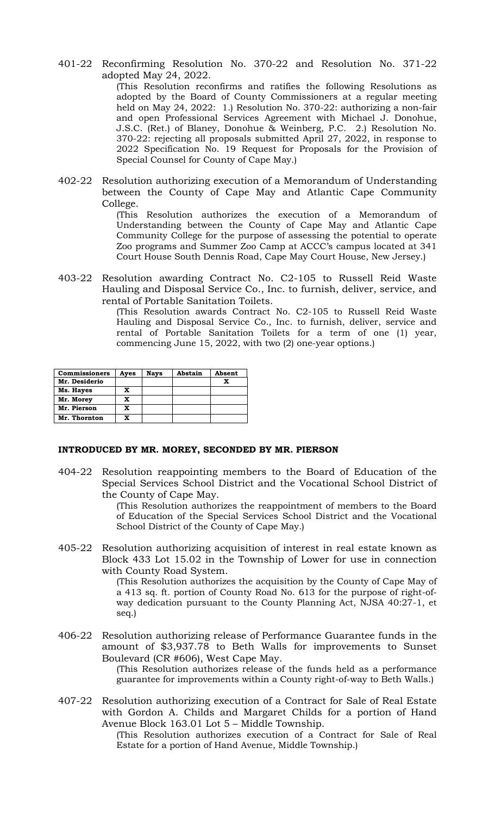401-22 Reconfirming Resolution No. 370-22 and Resolution No. 371-22 adopted May 24, 2022.

(This Resolution reconfirms and ratifies the following Resolutions as adopted by the Board of County Commissioners at a regular meeting held on May 24, 2022: 1.) Resolution No. 370-22: authorizing a non-fair and open Professional Services Agreement with Michael J. Donohue, J.S.C. (Ret.) of Blaney, Donohue & Weinberg, P.C. 2.) Resolution No. 370-22: rejecting all proposals submitted April 27, 2022, in response to 2022 Specification No. 19 Request for Proposals for the Provision of Special Counsel for County of Cape May.)

402-22 Resolution authorizing execution of a Memorandum of Understanding between the County of Cape May and Atlantic Cape Community College.

> (This Resolution authorizes the execution of a Memorandum of Understanding between the County of Cape May and Atlantic Cape Community College for the purpose of assessing the potential to operate Zoo programs and Summer Zoo Camp at ACCC's campus located at 341 Court House South Dennis Road, Cape May Court House, New Jersey.)

403-22 Resolution awarding Contract No. C2-105 to Russell Reid Waste Hauling and Disposal Service Co., Inc. to furnish, deliver, service, and rental of Portable Sanitation Toilets.

(This Resolution awards Contract No. C2-105 to Russell Reid Waste Hauling and Disposal Service Co., Inc. to furnish, deliver, service and rental of Portable Sanitation Toilets for a term of one (1) year, commencing June 15, 2022, with two (2) one-year options.)

| <b>Commissioners</b> | Ayes | <b>Nays</b> | Abstain | Absent |
|----------------------|------|-------------|---------|--------|
| Mr. Desiderio        |      |             |         |        |
| Ms. Hayes            | x    |             |         |        |
| Mr. Morey            | x    |             |         |        |
| Mr. Pierson          | x    |             |         |        |
| Mr. Thornton         | X    |             |         |        |

### **INTRODUCED BY MR. MOREY, SECONDED BY MR. PIERSON**

404-22 Resolution reappointing members to the Board of Education of the Special Services School District and the Vocational School District of the County of Cape May.

> (This Resolution authorizes the reappointment of members to the Board of Education of the Special Services School District and the Vocational School District of the County of Cape May.)

405-22 Resolution authorizing acquisition of interest in real estate known as Block 433 Lot 15.02 in the Township of Lower for use in connection with County Road System.

(This Resolution authorizes the acquisition by the County of Cape May of a 413 sq. ft. portion of County Road No. 613 for the purpose of right-ofway dedication pursuant to the County Planning Act, NJSA 40:27-1, et seq.)

406-22 Resolution authorizing release of Performance Guarantee funds in the amount of \$3,937.78 to Beth Walls for improvements to Sunset Boulevard (CR #606), West Cape May.

(This Resolution authorizes release of the funds held as a performance guarantee for improvements within a County right-of-way to Beth Walls.)

407-22 Resolution authorizing execution of a Contract for Sale of Real Estate with Gordon A. Childs and Margaret Childs for a portion of Hand Avenue Block 163.01 Lot 5 – Middle Township.

(This Resolution authorizes execution of a Contract for Sale of Real Estate for a portion of Hand Avenue, Middle Township.)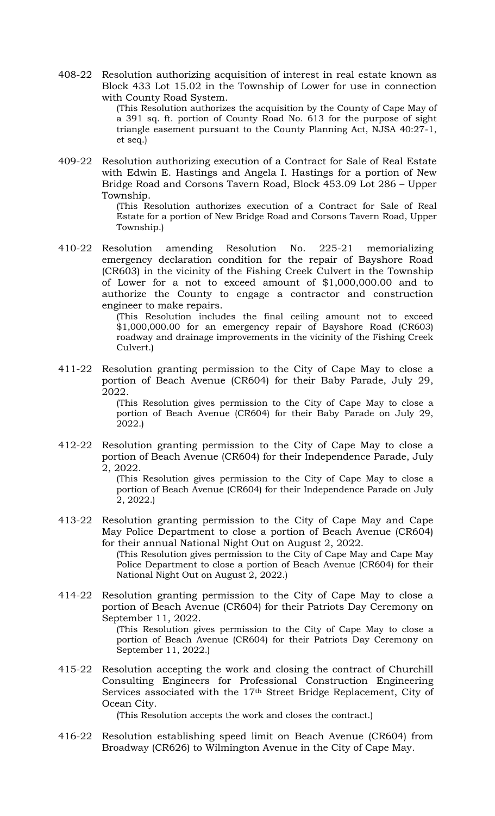408-22 Resolution authorizing acquisition of interest in real estate known as Block 433 Lot 15.02 in the Township of Lower for use in connection with County Road System.

(This Resolution authorizes the acquisition by the County of Cape May of a 391 sq. ft. portion of County Road No. 613 for the purpose of sight triangle easement pursuant to the County Planning Act, NJSA 40:27-1, et seq.)

409-22 Resolution authorizing execution of a Contract for Sale of Real Estate with Edwin E. Hastings and Angela I. Hastings for a portion of New Bridge Road and Corsons Tavern Road, Block 453.09 Lot 286 – Upper Township.

> (This Resolution authorizes execution of a Contract for Sale of Real Estate for a portion of New Bridge Road and Corsons Tavern Road, Upper Township.)

410-22 Resolution amending Resolution No. 225-21 memorializing emergency declaration condition for the repair of Bayshore Road (CR603) in the vicinity of the Fishing Creek Culvert in the Township of Lower for a not to exceed amount of \$1,000,000.00 and to authorize the County to engage a contractor and construction engineer to make repairs.

(This Resolution includes the final ceiling amount not to exceed \$1,000,000.00 for an emergency repair of Bayshore Road (CR603) roadway and drainage improvements in the vicinity of the Fishing Creek Culvert.)

411-22 Resolution granting permission to the City of Cape May to close a portion of Beach Avenue (CR604) for their Baby Parade, July 29, 2022.

> (This Resolution gives permission to the City of Cape May to close a portion of Beach Avenue (CR604) for their Baby Parade on July 29, 2022.)

412-22 Resolution granting permission to the City of Cape May to close a portion of Beach Avenue (CR604) for their Independence Parade, July 2, 2022.

> (This Resolution gives permission to the City of Cape May to close a portion of Beach Avenue (CR604) for their Independence Parade on July 2, 2022.)

413-22 Resolution granting permission to the City of Cape May and Cape May Police Department to close a portion of Beach Avenue (CR604) for their annual National Night Out on August 2, 2022.

(This Resolution gives permission to the City of Cape May and Cape May Police Department to close a portion of Beach Avenue (CR604) for their National Night Out on August 2, 2022.)

414-22 Resolution granting permission to the City of Cape May to close a portion of Beach Avenue (CR604) for their Patriots Day Ceremony on September 11, 2022.

(This Resolution gives permission to the City of Cape May to close a portion of Beach Avenue (CR604) for their Patriots Day Ceremony on September 11, 2022.)

415-22 Resolution accepting the work and closing the contract of Churchill Consulting Engineers for Professional Construction Engineering Services associated with the 17<sup>th</sup> Street Bridge Replacement, City of Ocean City.

(This Resolution accepts the work and closes the contract.)

416-22 Resolution establishing speed limit on Beach Avenue (CR604) from Broadway (CR626) to Wilmington Avenue in the City of Cape May.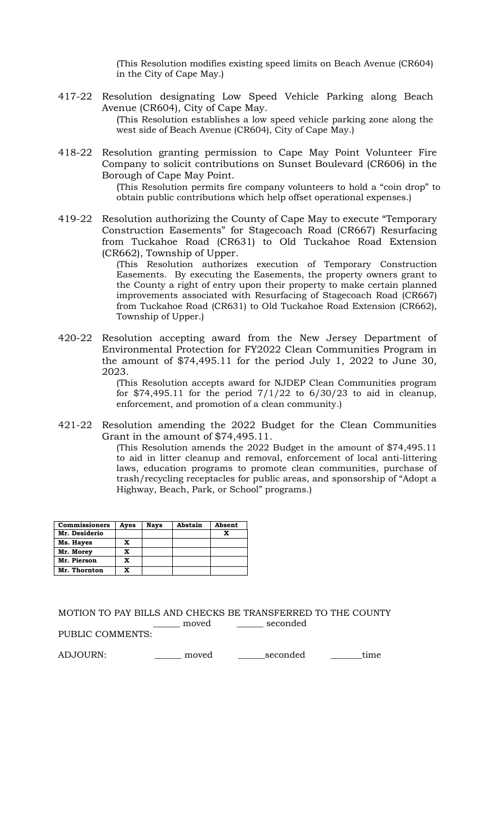(This Resolution modifies existing speed limits on Beach Avenue (CR604) in the City of Cape May.)

- 417-22 Resolution designating Low Speed Vehicle Parking along Beach Avenue (CR604), City of Cape May. (This Resolution establishes a low speed vehicle parking zone along the west side of Beach Avenue (CR604), City of Cape May.)
- 418-22 Resolution granting permission to Cape May Point Volunteer Fire Company to solicit contributions on Sunset Boulevard (CR606) in the Borough of Cape May Point.

(This Resolution permits fire company volunteers to hold a "coin drop" to obtain public contributions which help offset operational expenses.)

419-22 Resolution authorizing the County of Cape May to execute "Temporary Construction Easements" for Stagecoach Road (CR667) Resurfacing from Tuckahoe Road (CR631) to Old Tuckahoe Road Extension (CR662), Township of Upper.

> (This Resolution authorizes execution of Temporary Construction Easements. By executing the Easements, the property owners grant to the County a right of entry upon their property to make certain planned improvements associated with Resurfacing of Stagecoach Road (CR667) from Tuckahoe Road (CR631) to Old Tuckahoe Road Extension (CR662), Township of Upper.)

420-22 Resolution accepting award from the New Jersey Department of Environmental Protection for FY2022 Clean Communities Program in the amount of \$74,495.11 for the period July 1, 2022 to June 30, 2023.

> (This Resolution accepts award for NJDEP Clean Communities program for \$74,495.11 for the period  $7/1/22$  to  $6/30/23$  to aid in cleanup, enforcement, and promotion of a clean community.)

421-22 Resolution amending the 2022 Budget for the Clean Communities Grant in the amount of \$74,495.11.

(This Resolution amends the 2022 Budget in the amount of \$74,495.11 to aid in litter cleanup and removal, enforcement of local anti-littering laws, education programs to promote clean communities, purchase of trash/recycling receptacles for public areas, and sponsorship of "Adopt a Highway, Beach, Park, or School" programs.)

| <b>Commissioners</b> | Ayes | <b>Nays</b> | Abstain | Absent |
|----------------------|------|-------------|---------|--------|
| Mr. Desiderio        |      |             |         |        |
| Ms. Hayes            | x    |             |         |        |
| Mr. Morey            | x    |             |         |        |
| Mr. Pierson          | x    |             |         |        |
| Mr. Thornton         | X    |             |         |        |

MOTION TO PAY BILLS AND CHECKS BE TRANSFERRED TO THE COUNTY \_\_\_\_\_\_ moved \_\_\_\_\_\_ seconded

PUBLIC COMMENTS:

ADJOURN: \_\_\_\_\_\_\_\_ moved \_\_\_\_\_\_seconded \_\_\_\_\_\_time